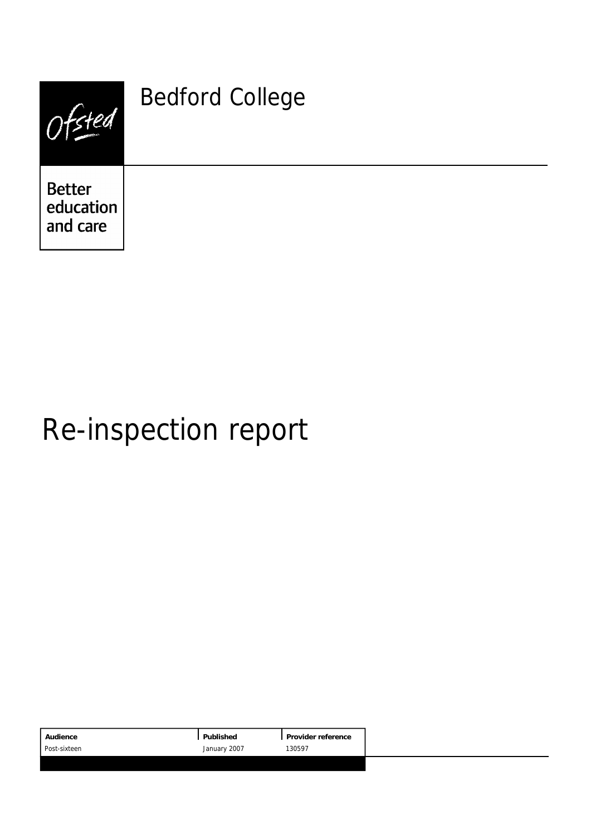| Fsted                                  | <b>Bedford College</b> |
|----------------------------------------|------------------------|
| <b>Better</b><br>education<br>and care |                        |

# Re-inspection report

|                        | Audience     | Published |
|------------------------|--------------|-----------|
| January 2007<br>130597 | Post-sixteen |           |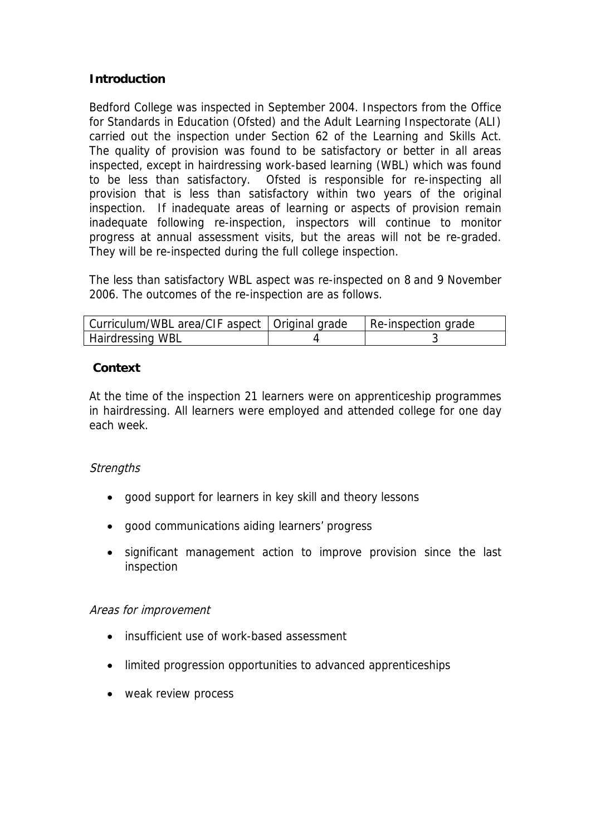#### **Introduction**

Bedford College was inspected in September 2004. Inspectors from the Office for Standards in Education (Ofsted) and the Adult Learning Inspectorate (ALI) carried out the inspection under Section 62 of the Learning and Skills Act. The quality of provision was found to be satisfactory or better in all areas inspected, except in hairdressing work-based learning (WBL) which was found to be less than satisfactory. Ofsted is responsible for re-inspecting all provision that is less than satisfactory within two years of the original inspection. If inadequate areas of learning or aspects of provision remain inadequate following re-inspection, inspectors will continue to monitor progress at annual assessment visits, but the areas will not be re-graded. They will be re-inspected during the full college inspection.

The less than satisfactory WBL aspect was re-inspected on 8 and 9 November 2006. The outcomes of the re-inspection are as follows.

| Curriculum/WBL area/CIF aspect   Original grade | Re-inspection grade |
|-------------------------------------------------|---------------------|
| Hairdressing WBL                                |                     |

#### **Context**

At the time of the inspection 21 learners were on apprenticeship programmes in hairdressing. All learners were employed and attended college for one day each week.

#### **Strengths**

- good support for learners in key skill and theory lessons
- good communications aiding learners' progress
- significant management action to improve provision since the last inspection

#### Areas for improvement

- insufficient use of work-based assessment
- limited progression opportunities to advanced apprenticeships
- weak review process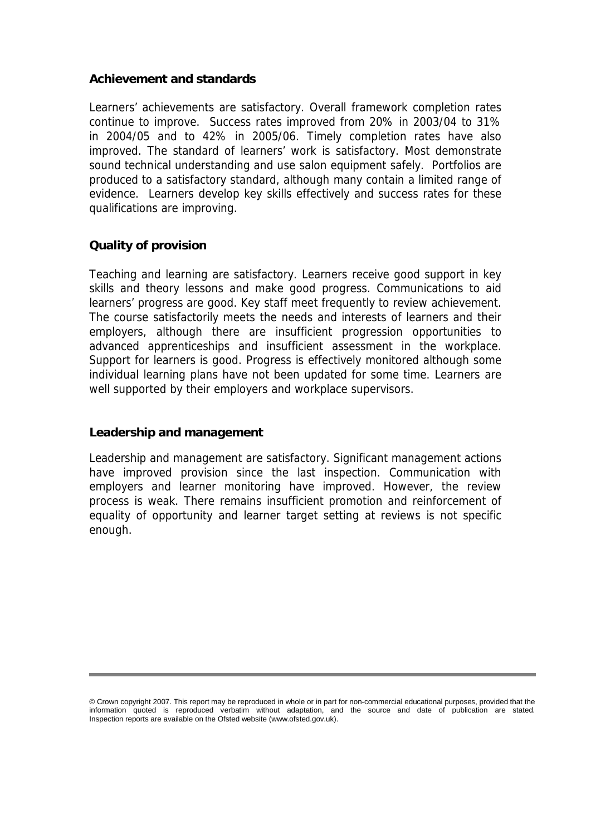#### **Achievement and standards**

Learners' achievements are satisfactory. Overall framework completion rates continue to improve. Success rates improved from 20% in 2003/04 to 31% in 2004/05 and to 42% in 2005/06. Timely completion rates have also improved. The standard of learners' work is satisfactory. Most demonstrate sound technical understanding and use salon equipment safely. Portfolios are produced to a satisfactory standard, although many contain a limited range of evidence. Learners develop key skills effectively and success rates for these qualifications are improving.

#### **Quality of provision**

Teaching and learning are satisfactory. Learners receive good support in key skills and theory lessons and make good progress. Communications to aid learners' progress are good. Key staff meet frequently to review achievement. The course satisfactorily meets the needs and interests of learners and their employers, although there are insufficient progression opportunities to advanced apprenticeships and insufficient assessment in the workplace. Support for learners is good. Progress is effectively monitored although some individual learning plans have not been updated for some time. Learners are well supported by their employers and workplace supervisors.

#### **Leadership and management**

Leadership and management are satisfactory. Significant management actions have improved provision since the last inspection. Communication with employers and learner monitoring have improved. However, the review process is weak. There remains insufficient promotion and reinforcement of equality of opportunity and learner target setting at reviews is not specific enough.

<sup>©</sup> Crown copyright 2007. This report may be reproduced in whole or in part for non-commercial educational purposes, provided that the information quoted is reproduced verbatim without adaptation, and the source and date of publication are stated. Inspection reports are available on the Ofsted website (www.ofsted.gov.uk).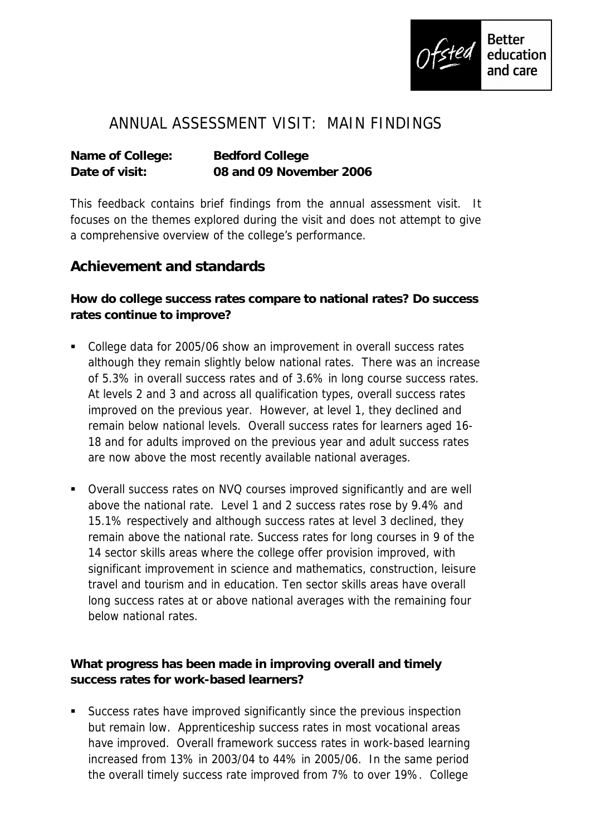

# ANNUAL ASSESSMENT VISIT: MAIN FINDINGS

**Name of College: Bedford College Date of visit: 08 and 09 November 2006**

This feedback contains brief findings from the annual assessment visit. It focuses on the themes explored during the visit and does not attempt to give a comprehensive overview of the college's performance.

## **Achievement and standards**

**How do college success rates compare to national rates? Do success rates continue to improve?**

- College data for 2005/06 show an improvement in overall success rates although they remain slightly below national rates. There was an increase of 5.3% in overall success rates and of 3.6% in long course success rates. At levels 2 and 3 and across all qualification types, overall success rates improved on the previous year. However, at level 1, they declined and remain below national levels. Overall success rates for learners aged 16- 18 and for adults improved on the previous year and adult success rates are now above the most recently available national averages.
- Overall success rates on NVQ courses improved significantly and are well above the national rate. Level 1 and 2 success rates rose by 9.4% and 15.1% respectively and although success rates at level 3 declined, they remain above the national rate. Success rates for long courses in 9 of the 14 sector skills areas where the college offer provision improved, with significant improvement in science and mathematics, construction, leisure travel and tourism and in education. Ten sector skills areas have overall long success rates at or above national averages with the remaining four below national rates.

**What progress has been made in improving overall and timely success rates for work-based learners?**

 Success rates have improved significantly since the previous inspection but remain low. Apprenticeship success rates in most vocational areas have improved. Overall framework success rates in work-based learning increased from 13% in 2003/04 to 44% in 2005/06. In the same period the overall timely success rate improved from 7% to over 19%. College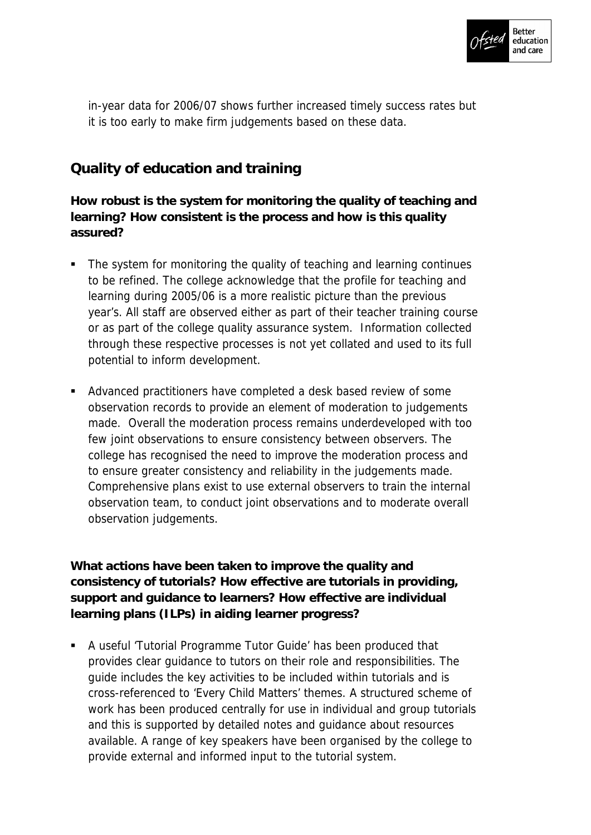

in-year data for 2006/07 shows further increased timely success rates but it is too early to make firm judgements based on these data.

## **Quality of education and training**

**How robust is the system for monitoring the quality of teaching and learning? How consistent is the process and how is this quality assured?**

- The system for monitoring the quality of teaching and learning continues to be refined. The college acknowledge that the profile for teaching and learning during 2005/06 is a more realistic picture than the previous year's. All staff are observed either as part of their teacher training course or as part of the college quality assurance system. Information collected through these respective processes is not yet collated and used to its full potential to inform development.
- Advanced practitioners have completed a desk based review of some observation records to provide an element of moderation to judgements made. Overall the moderation process remains underdeveloped with too few joint observations to ensure consistency between observers. The college has recognised the need to improve the moderation process and to ensure greater consistency and reliability in the judgements made. Comprehensive plans exist to use external observers to train the internal observation team, to conduct joint observations and to moderate overall observation judgements.

**What actions have been taken to improve the quality and consistency of tutorials? How effective are tutorials in providing, support and guidance to learners? How effective are individual learning plans (ILPs) in aiding learner progress?**

 A useful 'Tutorial Programme Tutor Guide' has been produced that provides clear guidance to tutors on their role and responsibilities. The guide includes the key activities to be included within tutorials and is cross-referenced to 'Every Child Matters' themes. A structured scheme of work has been produced centrally for use in individual and group tutorials and this is supported by detailed notes and guidance about resources available. A range of key speakers have been organised by the college to provide external and informed input to the tutorial system.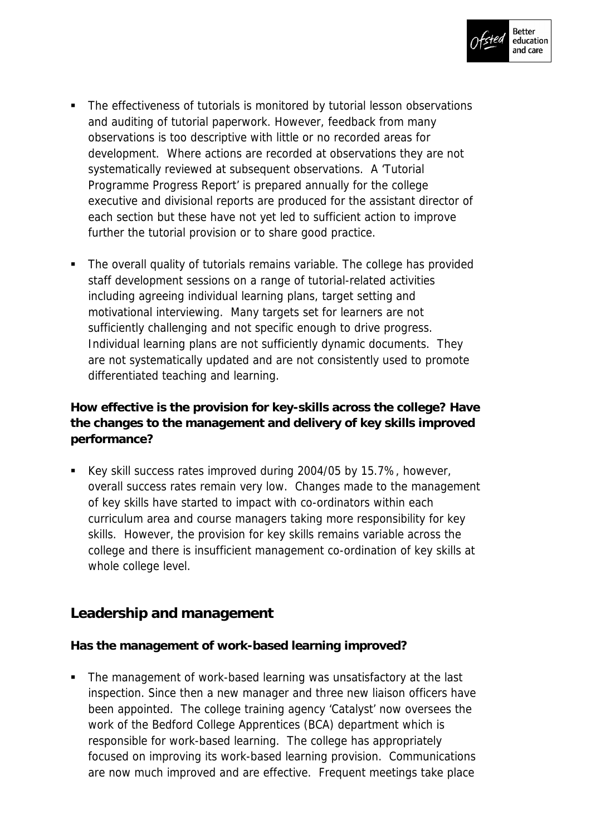

- The effectiveness of tutorials is monitored by tutorial lesson observations and auditing of tutorial paperwork. However, feedback from many observations is too descriptive with little or no recorded areas for development. Where actions are recorded at observations they are not systematically reviewed at subsequent observations. A 'Tutorial Programme Progress Report' is prepared annually for the college executive and divisional reports are produced for the assistant director of each section but these have not yet led to sufficient action to improve further the tutorial provision or to share good practice.
- The overall quality of tutorials remains variable. The college has provided staff development sessions on a range of tutorial-related activities including agreeing individual learning plans, target setting and motivational interviewing. Many targets set for learners are not sufficiently challenging and not specific enough to drive progress. Individual learning plans are not sufficiently dynamic documents. They are not systematically updated and are not consistently used to promote differentiated teaching and learning.

**How effective is the provision for key-skills across the college? Have the changes to the management and delivery of key skills improved performance?**

 Key skill success rates improved during 2004/05 by 15.7%, however, overall success rates remain very low. Changes made to the management of key skills have started to impact with co-ordinators within each curriculum area and course managers taking more responsibility for key skills. However, the provision for key skills remains variable across the college and there is insufficient management co-ordination of key skills at whole college level.

### **Leadership and management**

**Has the management of work-based learning improved?**

 The management of work-based learning was unsatisfactory at the last inspection. Since then a new manager and three new liaison officers have been appointed. The college training agency 'Catalyst' now oversees the work of the Bedford College Apprentices (BCA) department which is responsible for work-based learning. The college has appropriately focused on improving its work-based learning provision. Communications are now much improved and are effective. Frequent meetings take place